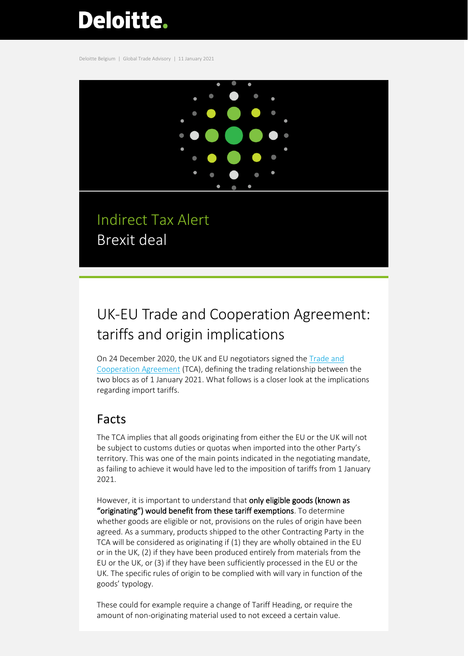# Deloitte.

Deloitte Belgium | Global Trade Advisory | 11 January 2021



Indirect Tax Alert Brexit deal

## UK-EU Trade and Cooperation Agreement: tariffs and origin implications

On 24 December 2020, the UK and EU negotiators signed the [Trade and](https://ec.europa.eu/info/sites/info/files/draft_eu-uk_trade_and_cooperation_agreement.pdf)  [Cooperation Agreement](https://ec.europa.eu/info/sites/info/files/draft_eu-uk_trade_and_cooperation_agreement.pdf) (TCA), defining the trading relationship between the two blocs as of 1 January 2021. What follows is a closer look at the implications regarding import tariffs.

## Facts

The TCA implies that all goods originating from either the EU or the UK will not be subject to customs duties or quotas when imported into the other Party's territory. This was one of the main points indicated in the negotiating mandate, as failing to achieve it would have led to the imposition of tariffs from 1 January 2021.

However, it is important to understand that only eligible goods (known as "originating") would benefit from these tariff exemptions. To determine whether goods are eligible or not, provisions on the rules of origin have been agreed. As a summary, products shipped to the other Contracting Party in the TCA will be considered as originating if (1) they are wholly obtained in the EU or in the UK, (2) if they have been produced entirely from materials from the EU or the UK, or (3) if they have been sufficiently processed in the EU or the UK. The specific rules of origin to be complied with will vary in function of the goods' typology.

These could for example require a change of Tariff Heading, or require the amount of non-originating material used to not exceed a certain value.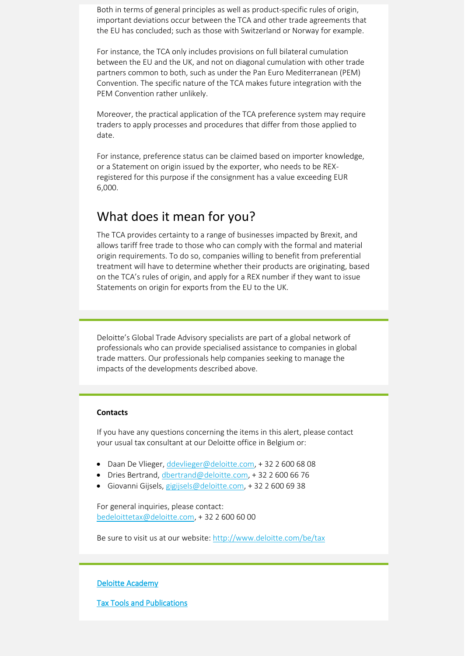Both in terms of general principles as well as product-specific rules of origin, important deviations occur between the TCA and other trade agreements that the EU has concluded; such as those with Switzerland or Norway for example.

For instance, the TCA only includes provisions on full bilateral cumulation between the EU and the UK, and not on diagonal cumulation with other trade partners common to both, such as under the Pan Euro Mediterranean (PEM) Convention. The specific nature of the TCA makes future integration with the PEM Convention rather unlikely.

Moreover, the practical application of the TCA preference system may require traders to apply processes and procedures that differ from those applied to date.

For instance, preference status can be claimed based on importer knowledge, or a Statement on origin issued by the exporter, who needs to be REXregistered for this purpose if the consignment has a value exceeding EUR 6,000.

### What does it mean for you?

The TCA provides certainty to a range of businesses impacted by Brexit, and allows tariff free trade to those who can comply with the formal and material origin requirements. To do so, companies willing to benefit from preferential treatment will have to determine whether their products are originating, based on the TCA's rules of origin, and apply for a REX number if they want to issue Statements on origin for exports from the EU to the UK.

Deloitte's Global Trade Advisory specialists are part of a global network of professionals who can provide specialised assistance to companies in global trade matters. Our professionals help companies seeking to manage the impacts of the developments described above.

#### **Contacts**

If you have any questions concerning the items in this alert, please contact your usual tax consultant at our Deloitte office in Belgium or:

- Daan De Vlieger, [ddevlieger@deloitte.com,](mailto:ddevlieger@deloitte.com) +32 2 600 68 08
- Dries Bertrand[, dbertrand@deloitte.com,](mailto:dbertrand@deloitte.com) +32 2 600 66 76
- Giovanni Gijsels, [gigijsels@deloitte.com,](mailto:gigijsels@deloitte.com) +32 2 600 69 38

For general inquiries, please contact: [bedeloittetax@deloitte.com,](mailto:bedeloittetax@deloitte.com) + 32 2 600 60 00

Be sure to visit us at our website:<http://www.deloitte.com/be/tax>

#### [Deloitte Academy](https://www2.deloitte.com/be/en/pages/tax/events/Upcoming-Events-Tax-Deloitte-Academy-Belgium.html)

[Tax Tools and Publications](https://www2.deloitte.com/be/en/pages/tax/topics/Tax-tools-and-publications-Deloitte-Belgium-Tax.html)